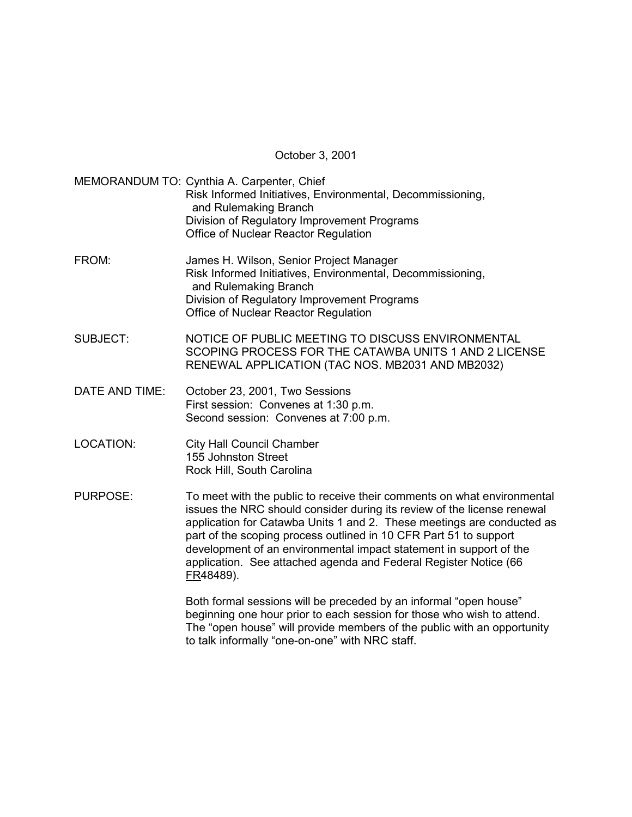October 3, 2001

MEMORANDUM TO: Cynthia A. Carpenter, Chief Risk Informed Initiatives, Environmental, Decommissioning, and Rulemaking Branch Division of Regulatory Improvement Programs Office of Nuclear Reactor Regulation

- FROM: James H. Wilson, Senior Project Manager Risk Informed Initiatives, Environmental, Decommissioning, and Rulemaking Branch Division of Regulatory Improvement Programs Office of Nuclear Reactor Regulation
- SUBJECT: NOTICE OF PUBLIC MEETING TO DISCUSS ENVIRONMENTAL SCOPING PROCESS FOR THE CATAWBA UNITS 1 AND 2 LICENSE RENEWAL APPLICATION (TAC NOS. MB2031 AND MB2032)
- DATE AND TIME: October 23, 2001, Two Sessions First session: Convenes at 1:30 p.m. Second session: Convenes at 7:00 p.m.
- LOCATION: City Hall Council Chamber 155 Johnston Street Rock Hill, South Carolina
- PURPOSE: To meet with the public to receive their comments on what environmental issues the NRC should consider during its review of the license renewal application for Catawba Units 1 and 2. These meetings are conducted as part of the scoping process outlined in 10 CFR Part 51 to support development of an environmental impact statement in support of the application. See attached agenda and Federal Register Notice (66 FR48489).

Both formal sessions will be preceded by an informal "open house" beginning one hour prior to each session for those who wish to attend. The "open house" will provide members of the public with an opportunity to talk informally "one-on-one" with NRC staff.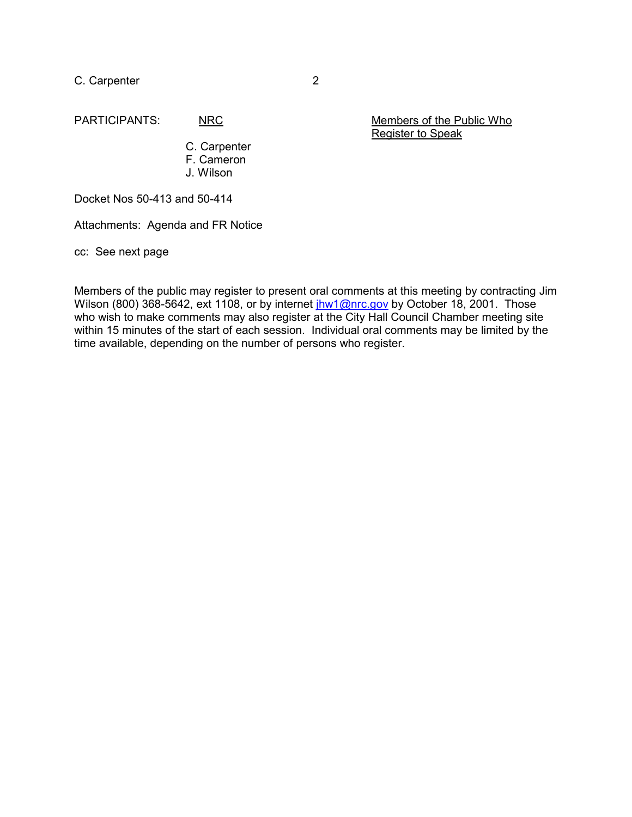C. Carpenter 2

PARTICIPANTS: NRC NRC Members of the Public Who Register to Speak

> C. Carpenter F. Cameron J. Wilson

Docket Nos 50-413 and 50-414

Attachments: Agenda and FR Notice

cc: See next page

Members of the public may register to present oral comments at this meeting by contracting Jim Wilson (800) 368-5642, ext 1108, or by internet jhw1@nrc.gov by October 18, 2001. Those who wish to make comments may also register at the City Hall Council Chamber meeting site within 15 minutes of the start of each session. Individual oral comments may be limited by the time available, depending on the number of persons who register.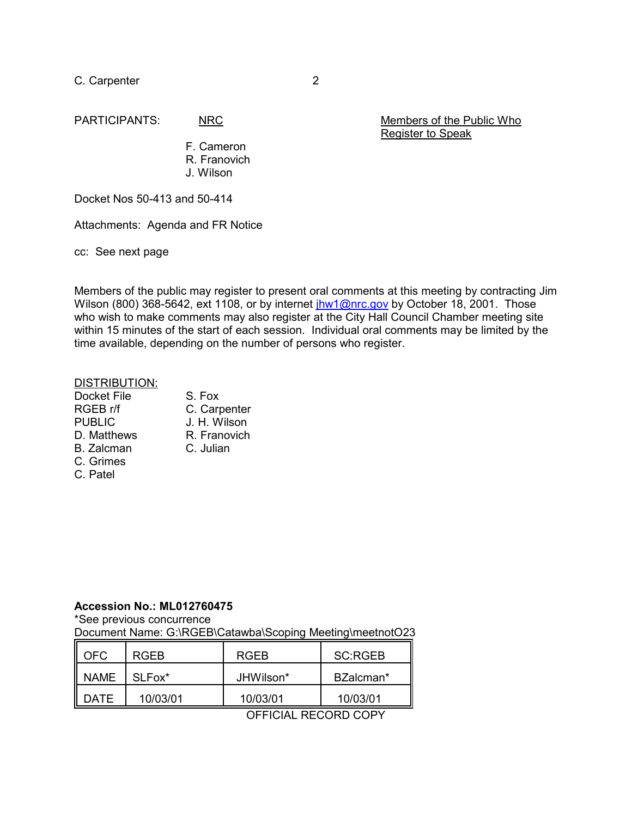C. Carpenter 2

PARTICIPANTS: NRC Members of the Public Who Register to Speak

> F. Cameron R. Franovich J. Wilson

Docket Nos 50-413 and 50-414

Attachments: Agenda and FR Notice

cc: See next page

Members of the public may register to present oral comments at this meeting by contracting Jim Wilson (800) 368-5642, ext 1108, or by internet jhw1@nrc.gov by October 18, 2001. Those who wish to make comments may also register at the City Hall Council Chamber meeting site within 15 minutes of the start of each session. Individual oral comments may be limited by the time available, depending on the number of persons who register.

#### DISTRIBUTION:

| Docket File       | S. Fox       |
|-------------------|--------------|
| RGEB r/f          | C. Carpenter |
| <b>PUBLIC</b>     | J. H. Wilson |
| D. Matthews       | R. Franovich |
| <b>B.</b> Zalcman | C. Julian    |
| C. Grimes         |              |
| C. Patel          |              |

### **Accession No.: ML012760475**

\*See previous concurrence

Document Name: G:\RGEB\Catawba\Scoping Meeting\meetnotO23

| OFC.        | RGFB     | <b>RGFB</b> | SC:RGEB   |
|-------------|----------|-------------|-----------|
| NAME        | SLFox*   | JHWilson*   | BZalcman* |
| <b>DATE</b> | 10/03/01 | 10/03/01    | 10/03/01  |

OFFICIAL RECORD COPY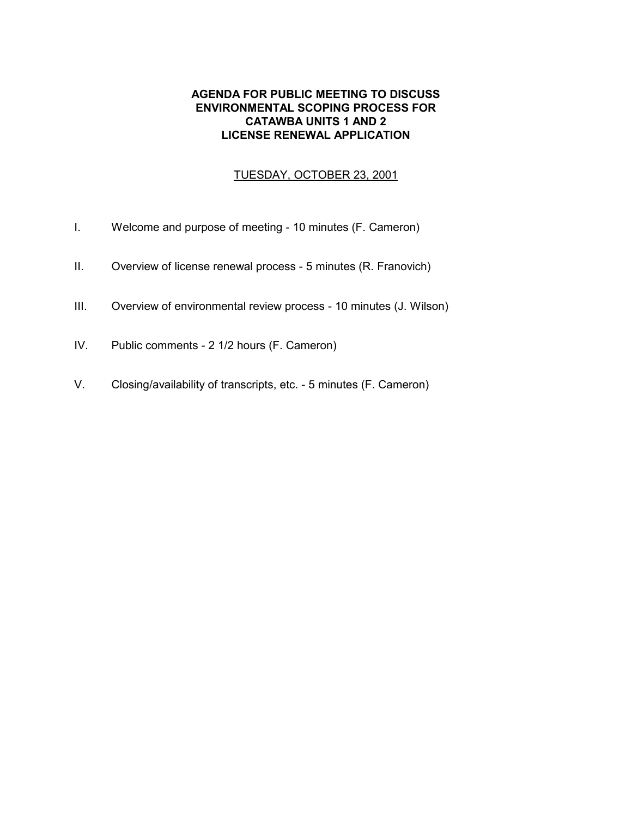# **AGENDA FOR PUBLIC MEETING TO DISCUSS ENVIRONMENTAL SCOPING PROCESS FOR CATAWBA UNITS 1 AND 2 LICENSE RENEWAL APPLICATION**

# TUESDAY, OCTOBER 23, 2001

- I. Welcome and purpose of meeting 10 minutes (F. Cameron)
- II. Overview of license renewal process 5 minutes (R. Franovich)
- III. Overview of environmental review process 10 minutes (J. Wilson)
- IV. Public comments 2 1/2 hours (F. Cameron)
- V. Closing/availability of transcripts, etc. 5 minutes (F. Cameron)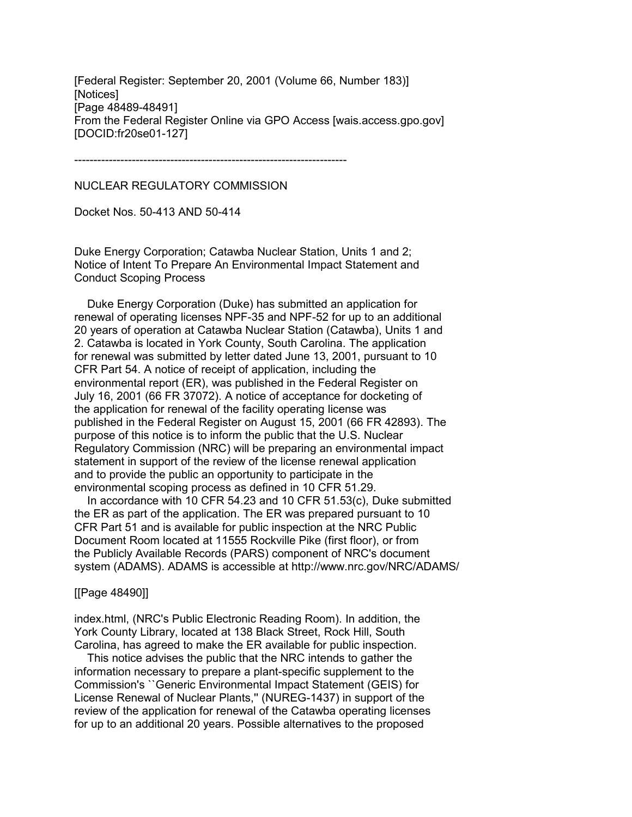[Federal Register: September 20, 2001 (Volume 66, Number 183)] [Notices] [Page 48489-48491] From the Federal Register Online via GPO Access [wais.access.gpo.gov] [DOCID:fr20se01-127]

-----------------------------------------------------------------------

NUCLEAR REGULATORY COMMISSION

Docket Nos. 50-413 AND 50-414

Duke Energy Corporation; Catawba Nuclear Station, Units 1 and 2; Notice of Intent To Prepare An Environmental Impact Statement and Conduct Scoping Process

 Duke Energy Corporation (Duke) has submitted an application for renewal of operating licenses NPF-35 and NPF-52 for up to an additional 20 years of operation at Catawba Nuclear Station (Catawba), Units 1 and 2. Catawba is located in York County, South Carolina. The application for renewal was submitted by letter dated June 13, 2001, pursuant to 10 CFR Part 54. A notice of receipt of application, including the environmental report (ER), was published in the Federal Register on July 16, 2001 (66 FR 37072). A notice of acceptance for docketing of the application for renewal of the facility operating license was published in the Federal Register on August 15, 2001 (66 FR 42893). The purpose of this notice is to inform the public that the U.S. Nuclear Regulatory Commission (NRC) will be preparing an environmental impact statement in support of the review of the license renewal application and to provide the public an opportunity to participate in the environmental scoping process as defined in 10 CFR 51.29.

 In accordance with 10 CFR 54.23 and 10 CFR 51.53(c), Duke submitted the ER as part of the application. The ER was prepared pursuant to 10 CFR Part 51 and is available for public inspection at the NRC Public Document Room located at 11555 Rockville Pike (first floor), or from the Publicly Available Records (PARS) component of NRC's document system (ADAMS). ADAMS is accessible at http://www.nrc.gov/NRC/ADAMS/

### [[Page 48490]]

index.html, (NRC's Public Electronic Reading Room). In addition, the York County Library, located at 138 Black Street, Rock Hill, South Carolina, has agreed to make the ER available for public inspection.

 This notice advises the public that the NRC intends to gather the information necessary to prepare a plant-specific supplement to the Commission's ``Generic Environmental Impact Statement (GEIS) for License Renewal of Nuclear Plants,'' (NUREG-1437) in support of the review of the application for renewal of the Catawba operating licenses for up to an additional 20 years. Possible alternatives to the proposed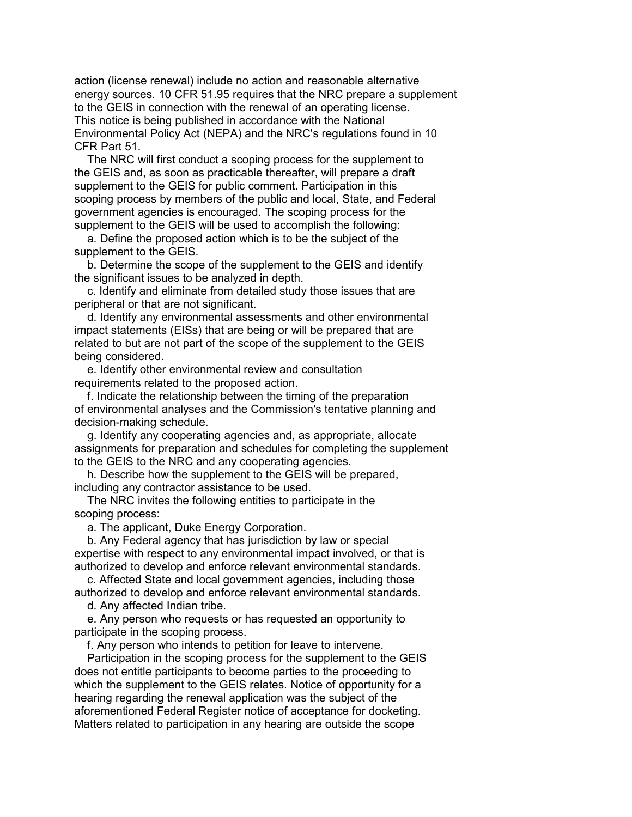action (license renewal) include no action and reasonable alternative energy sources. 10 CFR 51.95 requires that the NRC prepare a supplement to the GEIS in connection with the renewal of an operating license. This notice is being published in accordance with the National Environmental Policy Act (NEPA) and the NRC's regulations found in 10 CFR Part 51.

 The NRC will first conduct a scoping process for the supplement to the GEIS and, as soon as practicable thereafter, will prepare a draft supplement to the GEIS for public comment. Participation in this scoping process by members of the public and local, State, and Federal government agencies is encouraged. The scoping process for the supplement to the GEIS will be used to accomplish the following:

 a. Define the proposed action which is to be the subject of the supplement to the GEIS.

 b. Determine the scope of the supplement to the GEIS and identify the significant issues to be analyzed in depth.

 c. Identify and eliminate from detailed study those issues that are peripheral or that are not significant.

 d. Identify any environmental assessments and other environmental impact statements (EISs) that are being or will be prepared that are related to but are not part of the scope of the supplement to the GEIS being considered.

 e. Identify other environmental review and consultation requirements related to the proposed action.

 f. Indicate the relationship between the timing of the preparation of environmental analyses and the Commission's tentative planning and decision-making schedule.

 g. Identify any cooperating agencies and, as appropriate, allocate assignments for preparation and schedules for completing the supplement to the GEIS to the NRC and any cooperating agencies.

 h. Describe how the supplement to the GEIS will be prepared, including any contractor assistance to be used.

 The NRC invites the following entities to participate in the scoping process:

a. The applicant, Duke Energy Corporation.

 b. Any Federal agency that has jurisdiction by law or special expertise with respect to any environmental impact involved, or that is authorized to develop and enforce relevant environmental standards.

 c. Affected State and local government agencies, including those authorized to develop and enforce relevant environmental standards.

d. Any affected Indian tribe.

 e. Any person who requests or has requested an opportunity to participate in the scoping process.

f. Any person who intends to petition for leave to intervene.

 Participation in the scoping process for the supplement to the GEIS does not entitle participants to become parties to the proceeding to which the supplement to the GEIS relates. Notice of opportunity for a hearing regarding the renewal application was the subject of the aforementioned Federal Register notice of acceptance for docketing. Matters related to participation in any hearing are outside the scope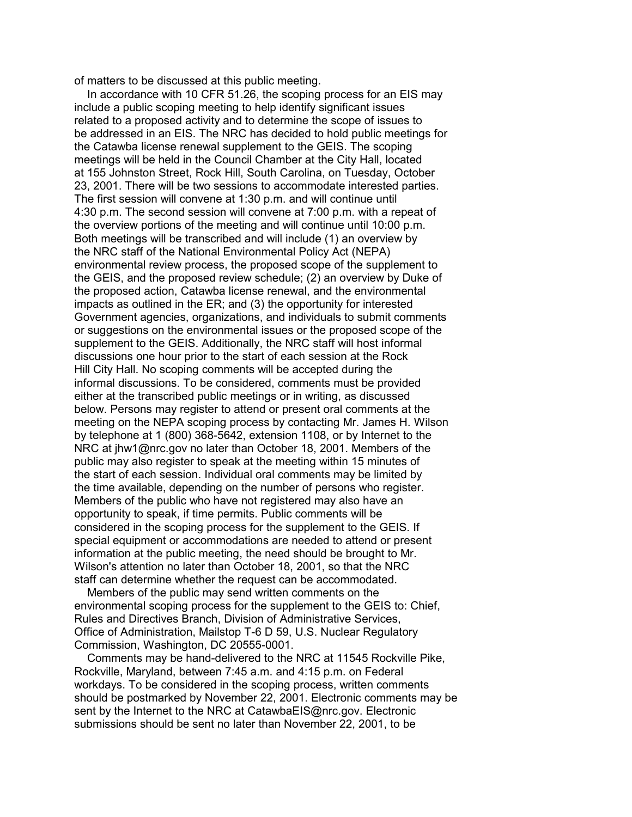of matters to be discussed at this public meeting.

 In accordance with 10 CFR 51.26, the scoping process for an EIS may include a public scoping meeting to help identify significant issues related to a proposed activity and to determine the scope of issues to be addressed in an EIS. The NRC has decided to hold public meetings for the Catawba license renewal supplement to the GEIS. The scoping meetings will be held in the Council Chamber at the City Hall, located at 155 Johnston Street, Rock Hill, South Carolina, on Tuesday, October 23, 2001. There will be two sessions to accommodate interested parties. The first session will convene at 1:30 p.m. and will continue until 4:30 p.m. The second session will convene at 7:00 p.m. with a repeat of the overview portions of the meeting and will continue until 10:00 p.m. Both meetings will be transcribed and will include (1) an overview by the NRC staff of the National Environmental Policy Act (NEPA) environmental review process, the proposed scope of the supplement to the GEIS, and the proposed review schedule; (2) an overview by Duke of the proposed action, Catawba license renewal, and the environmental impacts as outlined in the ER; and (3) the opportunity for interested Government agencies, organizations, and individuals to submit comments or suggestions on the environmental issues or the proposed scope of the supplement to the GEIS. Additionally, the NRC staff will host informal discussions one hour prior to the start of each session at the Rock Hill City Hall. No scoping comments will be accepted during the informal discussions. To be considered, comments must be provided either at the transcribed public meetings or in writing, as discussed below. Persons may register to attend or present oral comments at the meeting on the NEPA scoping process by contacting Mr. James H. Wilson by telephone at 1 (800) 368-5642, extension 1108, or by Internet to the NRC at jhw1@nrc.gov no later than October 18, 2001. Members of the public may also register to speak at the meeting within 15 minutes of the start of each session. Individual oral comments may be limited by the time available, depending on the number of persons who register. Members of the public who have not registered may also have an opportunity to speak, if time permits. Public comments will be considered in the scoping process for the supplement to the GEIS. If special equipment or accommodations are needed to attend or present information at the public meeting, the need should be brought to Mr. Wilson's attention no later than October 18, 2001, so that the NRC staff can determine whether the request can be accommodated.

 Members of the public may send written comments on the environmental scoping process for the supplement to the GEIS to: Chief, Rules and Directives Branch, Division of Administrative Services, Office of Administration, Mailstop T-6 D 59, U.S. Nuclear Regulatory Commission, Washington, DC 20555-0001.

 Comments may be hand-delivered to the NRC at 11545 Rockville Pike, Rockville, Maryland, between 7:45 a.m. and 4:15 p.m. on Federal workdays. To be considered in the scoping process, written comments should be postmarked by November 22, 2001. Electronic comments may be sent by the Internet to the NRC at CatawbaEIS@nrc.gov. Electronic submissions should be sent no later than November 22, 2001, to be